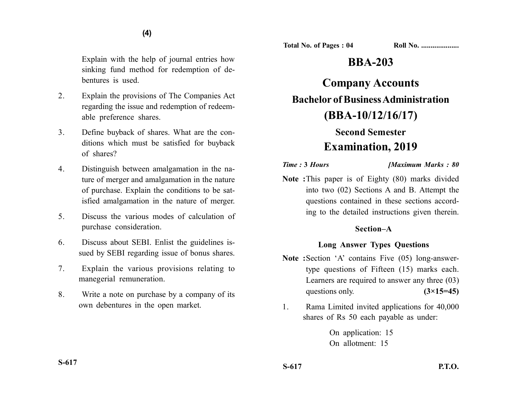Explain with the help of journal entries how sinking fund method for redemption of debentures is used.

- 2. Explain the provisions of The Companies Act regarding the issue and redemption of redeemable preference shares.
- 3. Define buyback of shares. What are the conditions which must be satisfied for buyback of shares?
- 4. Distinguish between amalgamation in the nature of merger and amalgamation in the nature of purchase. Explain the conditions to be satisfied amalgamation in the nature of merger.
- 5. Discuss the various modes of calculation of purchase consideration.
- 6. Discuss about SEBI. Enlist the guidelines issued by SEBI regarding issue of bonus shares.
- 7. Explain the various provisions relating to manegerial remuneration.
- 8. Write a note on purchase by a company of its own debentures in the open market.

**Total No. of Pages : 04 Roll No. ...................** 

# **BBA-203**

**Company Accounts Bachelor of Business Administration (BBA-10/12/16/17)**

# **Second Semester Examination, 2019**

*Time :* **3** *Hours [Maximum Marks : 80*

**Note :**This paper is of Eighty (80) marks divided into two (02) Sections A and B. Attempt the questions contained in these sections according to the detailed instructions given therein.

## **Section–A**

## **Long Answer Types Questions**

- **Note :**Section 'A' contains Five (05) long-answertype questions of Fifteen (15) marks each. Learners are required to answer any three (03) questions only. **(3×15=45)**
- 1. Rama Limited invited applications for 40,000 shares of Rs 50 each payable as under:

On application: 15 On allotment: 15